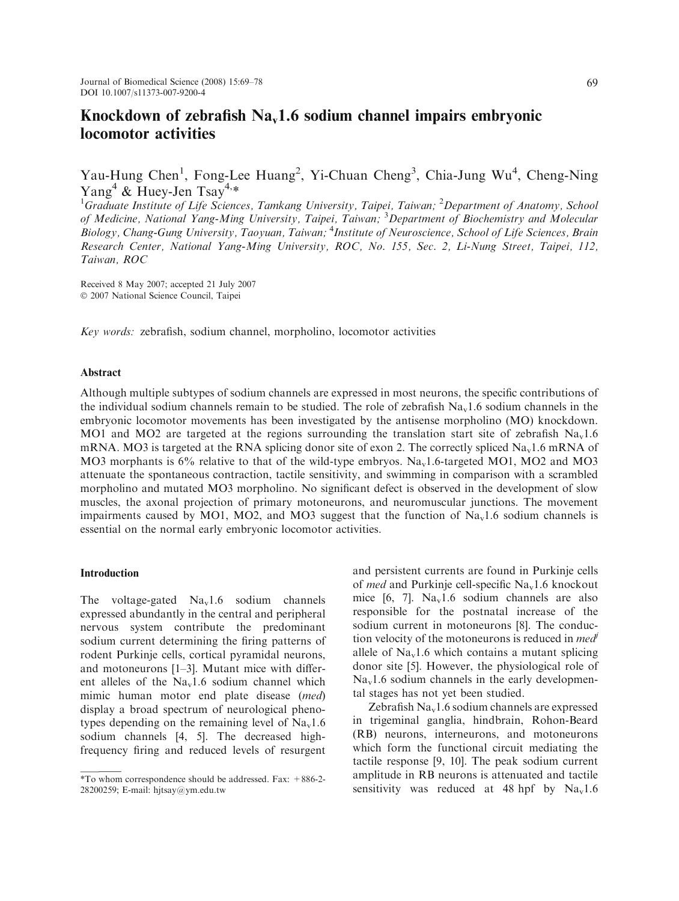Yau-Hung Chen<sup>1</sup>, Fong-Lee Huang<sup>2</sup>, Yi-Chuan Cheng<sup>3</sup>, Chia-Jung Wu<sup>4</sup>, Cheng-Ning Yang<sup>4</sup> & Huey-Jen Tsay<sup>4,\*</sup>

<sup>1</sup>Graduate Institute of Life Sciences, Tamkang University, Taipei, Taiwan; <sup>2</sup>Department of Anatomy, School of Medicine, National Yang-Ming University, Taipei, Taiwan; <sup>3</sup>Department of Biochemistry and Molecular Biology, Chang-Gung University, Taoyuan, Taiwan; <sup>4</sup>Institute of Neuroscience, School of Life Sciences, Brain Research Center, National Yang-Ming University, ROC, No. 155, Sec. 2, Li-Nung Street, Taipei, 112, Taiwan, ROC

Received 8 May 2007; accepted 21 July 2007 2007 National Science Council, Taipei

Key words: zebrafish, sodium channel, morpholino, locomotor activities

#### Abstract

Although multiple subtypes of sodium channels are expressed in most neurons, the specific contributions of the individual sodium channels remain to be studied. The role of zebrafish  $N_{a_y}1.6$  sodium channels in the embryonic locomotor movements has been investigated by the antisense morpholino (MO) knockdown. MO1 and MO2 are targeted at the regions surrounding the translation start site of zebrafish  $\text{Na}_{v}1.6$ mRNA. MO3 is targeted at the RNA splicing donor site of exon 2. The correctly spliced Na<sub>v</sub>1.6 mRNA of MO3 morphants is  $6\%$  relative to that of the wild-type embryos. Na<sub>v</sub>1.6-targeted MO1, MO2 and MO3 attenuate the spontaneous contraction, tactile sensitivity, and swimming in comparison with a scrambled morpholino and mutated MO3 morpholino. No significant defect is observed in the development of slow muscles, the axonal projection of primary motoneurons, and neuromuscular junctions. The movement impairments caused by MO1, MO2, and MO3 suggest that the function of  $\text{Na}_y1.6$  sodium channels is essential on the normal early embryonic locomotor activities.

#### Introduction

The voltage-gated  $Na<sub>v</sub>1.6$  sodium channels expressed abundantly in the central and peripheral nervous system contribute the predominant sodium current determining the firing patterns of rodent Purkinje cells, cortical pyramidal neurons, and motoneurons [1–3]. Mutant mice with different alleles of the  $Na<sub>v</sub>1.6$  sodium channel which mimic human motor end plate disease (med) display a broad spectrum of neurological phenotypes depending on the remaining level of  $Na<sub>v</sub>1.6$ sodium channels [4, 5]. The decreased highfrequency firing and reduced levels of resurgent

and persistent currents are found in Purkinje cells of med and Purkinje cell-specific  $Na<sub>v</sub>1.6$  knockout mice  $[6, 7]$ . Na<sub>v</sub>1.6 sodium channels are also responsible for the postnatal increase of the sodium current in motoneurons [8]. The conduction velocity of the motoneurons is reduced in  $med<sup>j</sup>$ allele of  $Na<sub>v</sub>1.6$  which contains a mutant splicing donor site [5]. However, the physiological role of  $Na<sub>v</sub>1.6$  sodium channels in the early developmental stages has not yet been studied.

Zebrafish  $Na<sub>v</sub>1.6$  sodium channels are expressed in trigeminal ganglia, hindbrain, Rohon-Beard (RB) neurons, interneurons, and motoneurons which form the functional circuit mediating the tactile response [9, 10]. The peak sodium current amplitude in RB neurons is attenuated and tactile sensitivity was reduced at 48 hpf by  $Na<sub>v</sub>1.6$ 

<sup>\*</sup>To whom correspondence should be addressed. Fax: +886-2- 28200259; E-mail: hjtsay@ym.edu.tw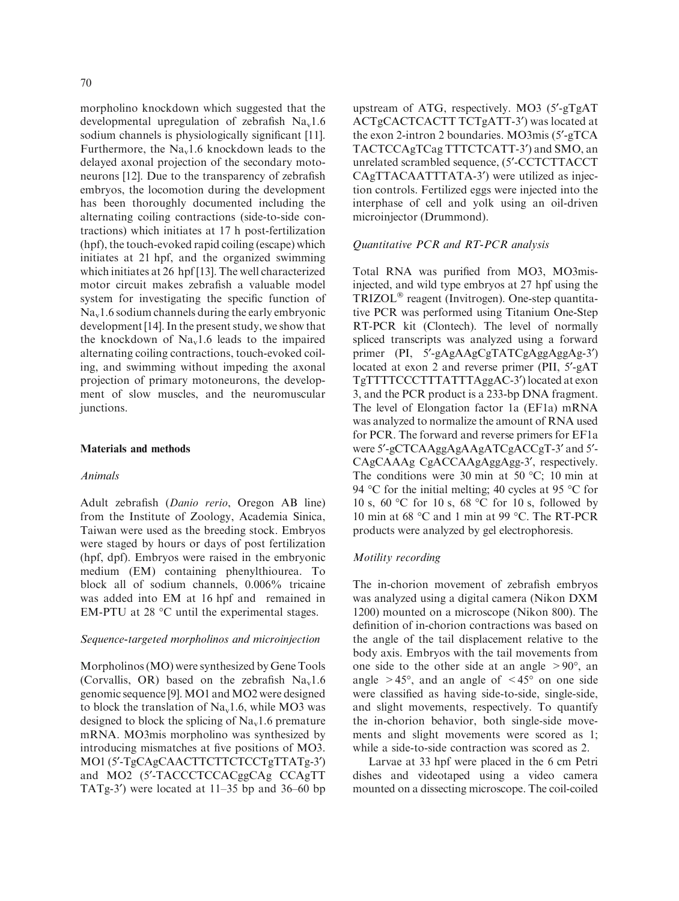morpholino knockdown which suggested that the developmental upregulation of zebrafish  $Na<sub>v</sub>1.6$ sodium channels is physiologically significant [11]. Furthermore, the  $Na<sub>v</sub>1.6$  knockdown leads to the delayed axonal projection of the secondary motoneurons [12]. Due to the transparency of zebrafish embryos, the locomotion during the development has been thoroughly documented including the alternating coiling contractions (side-to-side contractions) which initiates at 17 h post-fertilization (hpf), the touch-evoked rapid coiling (escape) which initiates at 21 hpf, and the organized swimming which initiates at 26 hpf [13]. The well characterized motor circuit makes zebrafish a valuable model system for investigating the specific function of  $Na<sub>v</sub>1.6$  sodium channels during the early embryonic development [14]. In the present study, we show that the knockdown of  $Na<sub>v</sub>1.6$  leads to the impaired alternating coiling contractions, touch-evoked coiling, and swimming without impeding the axonal projection of primary motoneurons, the development of slow muscles, and the neuromuscular junctions.

#### Materials and methods

### Animals

Adult zebrafish (Danio rerio, Oregon AB line) from the Institute of Zoology, Academia Sinica, Taiwan were used as the breeding stock. Embryos were staged by hours or days of post fertilization (hpf, dpf). Embryos were raised in the embryonic medium (EM) containing phenylthiourea. To block all of sodium channels, 0.006% tricaine was added into EM at 16 hpf and remained in EM-PTU at 28  $^{\circ}$ C until the experimental stages.

### Sequence-targeted morpholinos and microinjection

Morpholinos (MO) were synthesized by Gene Tools (Corvallis, OR) based on the zebrafish  $Na<sub>v</sub>1.6$ genomic sequence [9]. MO1 and MO2 were designed to block the translation of  $\text{Na}_{\text{v}}1.6$ , while MO3 was designed to block the splicing of  $Na<sub>v</sub>1.6$  premature mRNA. MO3mis morpholino was synthesized by introducing mismatches at five positions of MO3. MO1 (5'-TgCAgCAACTTCTTCTCCTgTTATg-3') and MO2 (5'-TACCCTCCACggCAg CCAgTT TATg-3<sup>'</sup>) were located at  $11-35$  bp and  $36-60$  bp upstream of ATG, respectively. MO3  $(5'-gTgAT)$ ACTgCACTCACTT TCTgATT-3') was located at the exon 2-intron 2 boundaries. MO3mis (5'-gTCA) TACTCCAgTCag TTTCTCATT-3') and SMO, an unrelated scrambled sequence, (5¢-CCTCTTACCT CAgTTACAATTTATA-3<sup>'</sup>) were utilized as injection controls. Fertilized eggs were injected into the interphase of cell and yolk using an oil-driven microinjector (Drummond).

#### Quantitative PCR and RT-PCR analysis

Total RNA was purified from MO3, MO3misinjected, and wild type embryos at 27 hpf using the TRIZOL<sup>®</sup> reagent (Invitrogen). One-step quantitative PCR was performed using Titanium One-Step RT-PCR kit (Clontech). The level of normally spliced transcripts was analyzed using a forward primer (PI, 5'-gAgAAgCgTATCgAggAggAg-3') located at exon 2 and reverse primer (PII, 5'-gAT TgTTTTCCCTTTATTTAggAC-3¢) located at exon 3, and the PCR product is a 233-bp DNA fragment. The level of Elongation factor 1a (EF1a) mRNA was analyzed to normalize the amount of RNA used for PCR. The forward and reverse primers for EF1a were 5'-gCTCAAggAgAAgATCgACCgT-3' and 5'-CAgCAAAg CgACCAAgAggAgg-3', respectively. The conditions were 30 min at 50  $^{\circ}$ C; 10 min at 94 °C for the initial melting; 40 cycles at 95 °C for 10 s, 60 °C for 10 s, 68 °C for 10 s, followed by 10 min at 68  $\degree$ C and 1 min at 99  $\degree$ C. The RT-PCR products were analyzed by gel electrophoresis.

## Motility recording

The in-chorion movement of zebrafish embryos was analyzed using a digital camera (Nikon DXM 1200) mounted on a microscope (Nikon 800). The definition of in-chorion contractions was based on the angle of the tail displacement relative to the body axis. Embryos with the tail movements from one side to the other side at an angle  $> 90^{\circ}$ , and angle  $> 45^{\circ}$ , and an angle of  $< 45^{\circ}$  on one side were classified as having side-to-side, single-side, and slight movements, respectively. To quantify the in-chorion behavior, both single-side movements and slight movements were scored as 1; while a side-to-side contraction was scored as 2.

Larvae at 33 hpf were placed in the 6 cm Petri dishes and videotaped using a video camera mounted on a dissecting microscope. The coil-coiled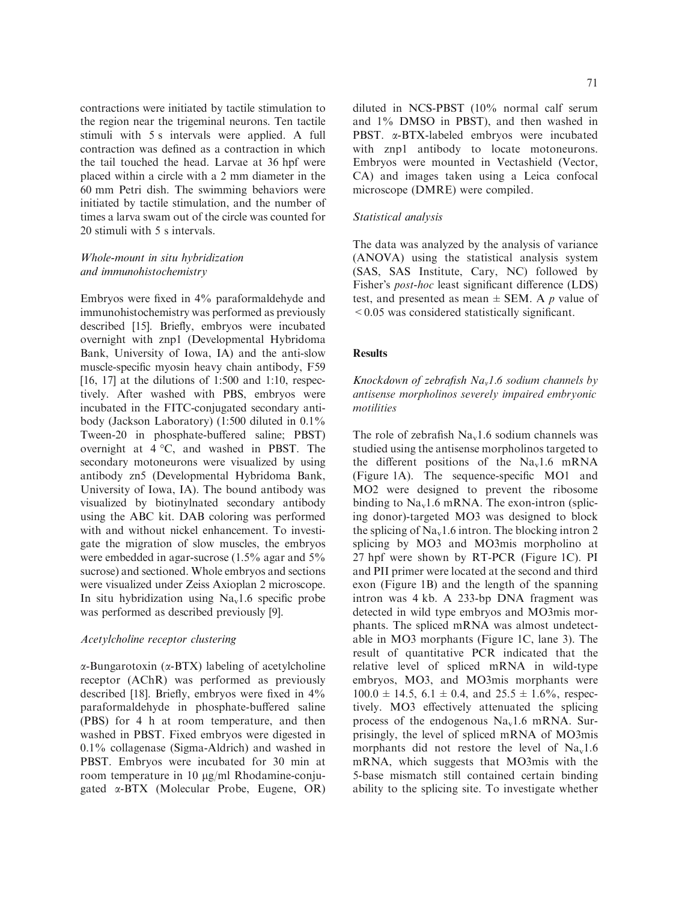contractions were initiated by tactile stimulation to the region near the trigeminal neurons. Ten tactile stimuli with 5 s intervals were applied. A full contraction was defined as a contraction in which the tail touched the head. Larvae at 36 hpf were placed within a circle with a 2 mm diameter in the 60 mm Petri dish. The swimming behaviors were initiated by tactile stimulation, and the number of times a larva swam out of the circle was counted for 20 stimuli with 5 s intervals.

# Whole-mount in situ hybridization and immunohistochemistry

Embryos were fixed in 4% paraformaldehyde and immunohistochemistry was performed as previously described [15]. Briefly, embryos were incubated overnight with znp1 (Developmental Hybridoma Bank, University of Iowa, IA) and the anti-slow muscle-specific myosin heavy chain antibody, F59  $[16, 17]$  at the dilutions of 1:500 and 1:10, respectively. After washed with PBS, embryos were incubated in the FITC-conjugated secondary antibody (Jackson Laboratory) (1:500 diluted in 0.1% Tween-20 in phosphate-buffered saline; PBST) overnight at  $4^{\circ}$ C, and washed in PBST. The secondary motoneurons were visualized by using antibody zn5 (Developmental Hybridoma Bank, University of Iowa, IA). The bound antibody was visualized by biotinylnated secondary antibody using the ABC kit. DAB coloring was performed with and without nickel enhancement. To investigate the migration of slow muscles, the embryos were embedded in agar-sucrose (1.5% agar and 5% sucrose) and sectioned. Whole embryos and sections were visualized under Zeiss Axioplan 2 microscope. In situ hybridization using  $Na<sub>v</sub>1.6$  specific probe was performed as described previously [9].

# Acetylcholine receptor clustering

 $\alpha$ -Bungarotoxin ( $\alpha$ -BTX) labeling of acetylcholine receptor (AChR) was performed as previously described [18]. Briefly, embryos were fixed in 4% paraformaldehyde in phosphate-buffered saline (PBS) for 4 h at room temperature, and then washed in PBST. Fixed embryos were digested in 0.1% collagenase (Sigma-Aldrich) and washed in PBST. Embryos were incubated for 30 min at room temperature in 10  $\mu$ g/ml Rhodamine-conjugated a-BTX (Molecular Probe, Eugene, OR) diluted in NCS-PBST (10% normal calf serum and 1% DMSO in PBST), and then washed in PBST. a-BTX-labeled embryos were incubated with znp1 antibody to locate motoneurons. Embryos were mounted in Vectashield (Vector, CA) and images taken using a Leica confocal microscope (DMRE) were compiled.

# Statistical analysis

The data was analyzed by the analysis of variance (ANOVA) using the statistical analysis system (SAS, SAS Institute, Cary, NC) followed by Fisher's *post-hoc* least significant difference (LDS) test, and presented as mean  $\pm$  SEM. A p value of  $\leq 0.05$  was considered statistically significant.

#### **Results**

Knockdown of zebrafish Na<sub>v</sub>1.6 sodium channels by antisense morpholinos severely impaired embryonic motilities

The role of zebrafish  $Na<sub>v</sub>1.6$  sodium channels was studied using the antisense morpholinos targeted to the different positions of the  $Na<sub>v</sub>1.6$  mRNA (Figure 1A). The sequence-specific MO1 and MO2 were designed to prevent the ribosome binding to  $Na<sub>v</sub>1.6$  mRNA. The exon-intron (splicing donor)-targeted MO3 was designed to block the splicing of  $Na<sub>v</sub>1.6$  intron. The blocking intron 2 splicing by MO3 and MO3mis morpholino at 27 hpf were shown by RT-PCR (Figure 1C). PI and PII primer were located at the second and third exon (Figure 1B) and the length of the spanning intron was 4 kb. A 233-bp DNA fragment was detected in wild type embryos and MO3mis morphants. The spliced mRNA was almost undetectable in MO3 morphants (Figure 1C, lane 3). The result of quantitative PCR indicated that the relative level of spliced mRNA in wild-type embryos, MO3, and MO3mis morphants were  $100.0 \pm 14.5$ , 6.1  $\pm$  0.4, and 25.5  $\pm$  1.6%, respectively. MO3 effectively attenuated the splicing process of the endogenous  $Na<sub>v</sub>1.6$  mRNA. Surprisingly, the level of spliced mRNA of MO3mis morphants did not restore the level of  $Na<sub>v</sub>1.6$ mRNA, which suggests that MO3mis with the 5-base mismatch still contained certain binding ability to the splicing site. To investigate whether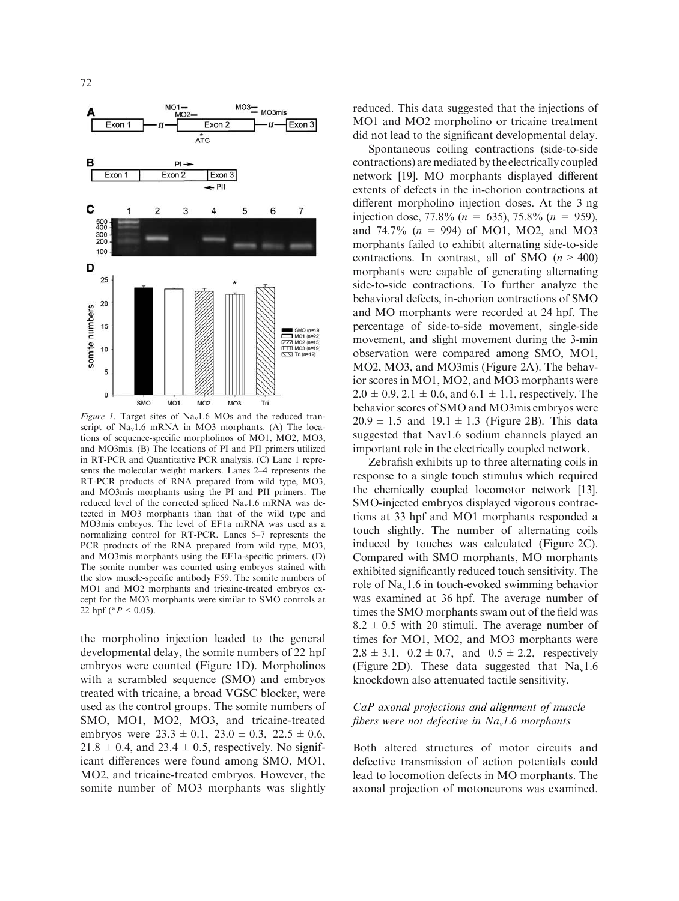

Figure 1. Target sites of  $Na<sub>v</sub>1.6$  MOs and the reduced transcript of  $Na<sub>v</sub>1.6$  mRNA in MO3 morphants. (A) The locations of sequence-specific morpholinos of MO1, MO2, MO3, and MO3mis. (B) The locations of PI and PII primers utilized in RT-PCR and Quantitative PCR analysis. (C) Lane 1 represents the molecular weight markers. Lanes 2–4 represents the RT-PCR products of RNA prepared from wild type, MO3, and MO3mis morphants using the PI and PII primers. The reduced level of the corrected spliced  $Na<sub>v</sub>1.6$  mRNA was detected in MO3 morphants than that of the wild type and MO3mis embryos. The level of EF1a mRNA was used as a normalizing control for RT-PCR. Lanes 5–7 represents the PCR products of the RNA prepared from wild type, MO3, and MO3mis morphants using the EF1a-specific primers. (D) The somite number was counted using embryos stained with the slow muscle-specific antibody F59. The somite numbers of MO1 and MO2 morphants and tricaine-treated embryos except for the MO3 morphants were similar to SMO controls at 22 hpf (\* $P < 0.05$ ).

the morpholino injection leaded to the general developmental delay, the somite numbers of 22 hpf embryos were counted (Figure 1D). Morpholinos with a scrambled sequence (SMO) and embryos treated with tricaine, a broad VGSC blocker, were used as the control groups. The somite numbers of SMO, MO1, MO2, MO3, and tricaine-treated embryos were  $23.3 \pm 0.1$ ,  $23.0 \pm 0.3$ ,  $22.5 \pm 0.6$ ,  $21.8 \pm 0.4$ , and  $23.4 \pm 0.5$ , respectively. No significant differences were found among SMO, MO1, MO2, and tricaine-treated embryos. However, the somite number of MO3 morphants was slightly

reduced. This data suggested that the injections of MO1 and MO2 morpholino or tricaine treatment did not lead to the significant developmental delay.

Spontaneous coiling contractions (side-to-side contractions) are mediated by the electrically coupled network [19]. MO morphants displayed different extents of defects in the in-chorion contractions at different morpholino injection doses. At the 3 ng injection dose, 77.8% ( $n = 635$ ), 75.8% ( $n = 959$ ), and 74.7% ( $n = 994$ ) of MO1, MO2, and MO3 morphants failed to exhibit alternating side-to-side contractions. In contrast, all of SMO  $(n > 400)$ morphants were capable of generating alternating side-to-side contractions. To further analyze the behavioral defects, in-chorion contractions of SMO and MO morphants were recorded at 24 hpf. The percentage of side-to-side movement, single-side movement, and slight movement during the 3-min observation were compared among SMO, MO1, MO2, MO3, and MO3mis (Figure 2A). The behavior scores in MO1, MO2, and MO3 morphants were  $2.0 \pm 0.9$ ,  $2.1 \pm 0.6$ , and  $6.1 \pm 1.1$ , respectively. The behavior scores of SMO and MO3mis embryos were  $20.9 \pm 1.5$  and  $19.1 \pm 1.3$  (Figure 2B). This data suggested that Nav1.6 sodium channels played an important role in the electrically coupled network.

Zebrafish exhibits up to three alternating coils in response to a single touch stimulus which required the chemically coupled locomotor network [13]. SMO-injected embryos displayed vigorous contractions at 33 hpf and MO1 morphants responded a touch slightly. The number of alternating coils induced by touches was calculated (Figure 2C). Compared with SMO morphants, MO morphants exhibited significantly reduced touch sensitivity. The role of  $Na<sub>v</sub>1.6$  in touch-evoked swimming behavior was examined at 36 hpf. The average number of times the SMO morphants swam out of the field was  $8.2 \pm 0.5$  with 20 stimuli. The average number of times for MO1, MO2, and MO3 morphants were  $2.8 \pm 3.1$ ,  $0.2 \pm 0.7$ , and  $0.5 \pm 2.2$ , respectively (Figure 2D). These data suggested that  $Na<sub>v</sub>1.6$ knockdown also attenuated tactile sensitivity.

# CaP axonal projections and alignment of muscle fibers were not defective in  $Na<sub>v</sub>1.6$  morphants

Both altered structures of motor circuits and defective transmission of action potentials could lead to locomotion defects in MO morphants. The axonal projection of motoneurons was examined.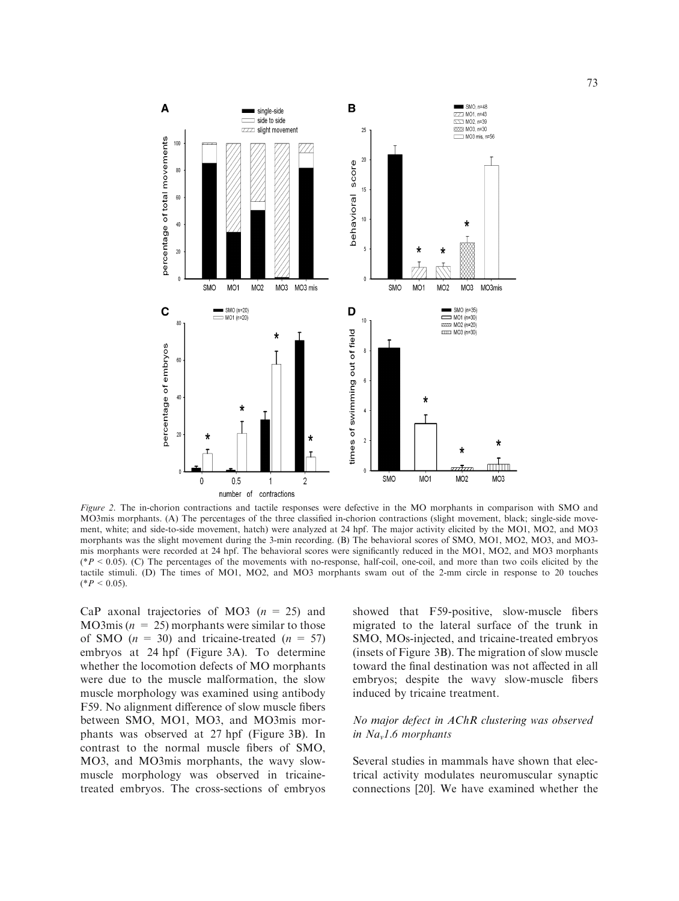

Figure 2. The in-chorion contractions and tactile responses were defective in the MO morphants in comparison with SMO and MO3mis morphants. (A) The percentages of the three classified in-chorion contractions (slight movement, black; single-side movement, white; and side-to-side movement, hatch) were analyzed at 24 hpf. The major activity elicited by the MO1, MO2, and MO3 morphants was the slight movement during the 3-min recording. (B) The behavioral scores of SMO, MO1, MO2, MO3, and MO3 mis morphants were recorded at 24 hpf. The behavioral scores were significantly reduced in the MO1, MO2, and MO3 morphants (\*P < 0.05). (C) The percentages of the movements with no-response, half-coil, one-coil, and more than two coils elicited by the tactile stimuli. (D) The times of MO1, MO2, and MO3 morphants swam out of the 2-mm circle in response to 20 touches  $(*P < 0.05).$ 

CaP axonal trajectories of MO3 ( $n = 25$ ) and MO3mis ( $n = 25$ ) morphants were similar to those of SMO  $(n = 30)$  and tricaine-treated  $(n = 57)$ embryos at 24 hpf (Figure 3A). To determine whether the locomotion defects of MO morphants were due to the muscle malformation, the slow muscle morphology was examined using antibody F59. No alignment difference of slow muscle fibers between SMO, MO1, MO3, and MO3mis morphants was observed at 27 hpf (Figure 3B). In contrast to the normal muscle fibers of SMO, MO3, and MO3mis morphants, the wavy slowmuscle morphology was observed in tricainetreated embryos. The cross-sections of embryos showed that F59-positive, slow-muscle fibers migrated to the lateral surface of the trunk in SMO, MOs-injected, and tricaine-treated embryos (insets of Figure 3B). The migration of slow muscle toward the final destination was not affected in all embryos; despite the wavy slow-muscle fibers induced by tricaine treatment.

# No major defect in AChR clustering was observed in  $Na<sub>v</sub>1.6$  morphants

Several studies in mammals have shown that electrical activity modulates neuromuscular synaptic connections [20]. We have examined whether the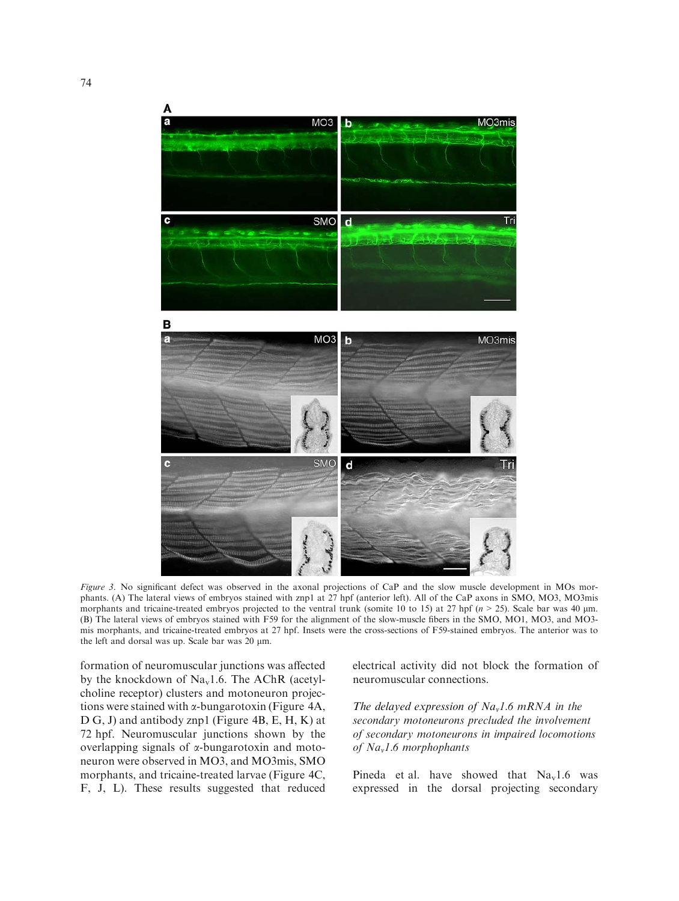

Figure 3. No significant defect was observed in the axonal projections of CaP and the slow muscle development in MOs morphants. (A) The lateral views of embryos stained with znp1 at 27 hpf (anterior left). All of the CaP axons in SMO, MO3, MO3mis morphants and tricaine-treated embryos projected to the ventral trunk (somite 10 to 15) at 27 hpf ( $n > 25$ ). Scale bar was 40  $\mu$ m. (B) The lateral views of embryos stained with F59 for the alignment of the slow-muscle fibers in the SMO, MO1, MO3, and MO3 mis morphants, and tricaine-treated embryos at 27 hpf. Insets were the cross-sections of F59-stained embryos. The anterior was to the left and dorsal was up. Scale bar was 20 µm.

formation of neuromuscular junctions was affected by the knockdown of  $Na<sub>v</sub>1.6$ . The AChR (acetylcholine receptor) clusters and motoneuron projections were stained with  $\alpha$ -bungarotoxin (Figure 4A, D G, J) and antibody znp1 (Figure 4B, E, H, K) at 72 hpf. Neuromuscular junctions shown by the overlapping signals of  $\alpha$ -bungarotoxin and motoneuron were observed in MO3, and MO3mis, SMO morphants, and tricaine-treated larvae (Figure 4C, F, J, L). These results suggested that reduced electrical activity did not block the formation of neuromuscular connections.

The delayed expression of  $Na<sub>v</sub>1.6$  mRNA in the secondary motoneurons precluded the involvement of secondary motoneurons in impaired locomotions of Nav1.6 morphophants

Pineda et al. have showed that  $Na<sub>v</sub>1.6$  was expressed in the dorsal projecting secondary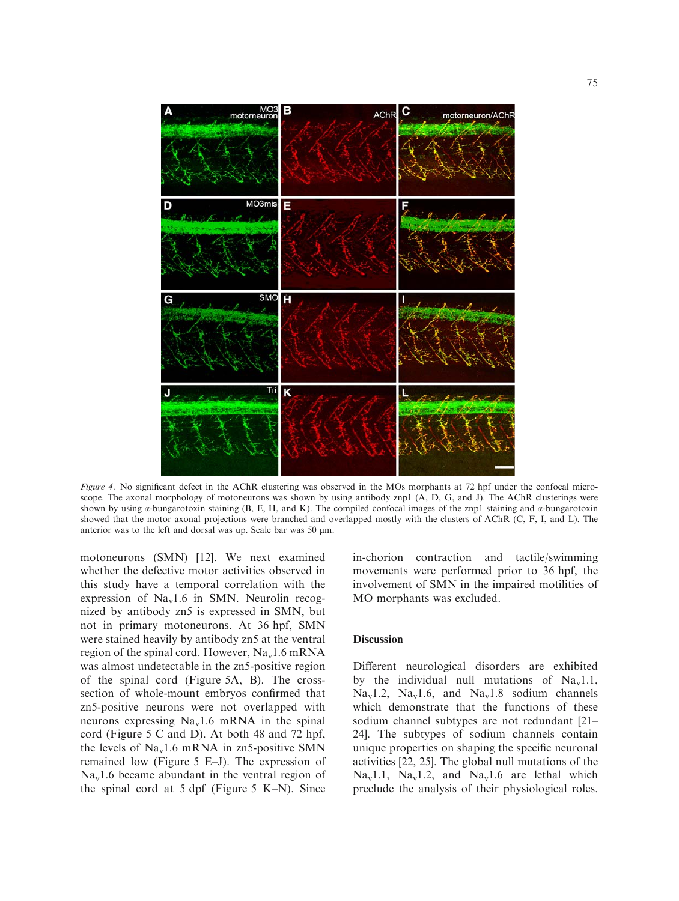

Figure 4. No significant defect in the AChR clustering was observed in the MOs morphants at 72 hpf under the confocal microscope. The axonal morphology of motoneurons was shown by using antibody znp1 (A, D, G, and J). The AChR clusterings were shown by using  $\alpha$ -bungarotoxin staining (B, E, H, and K). The compiled confocal images of the znp1 staining and  $\alpha$ -bungarotoxin showed that the motor axonal projections were branched and overlapped mostly with the clusters of AChR (C, F, I, and L). The anterior was to the left and dorsal was up. Scale bar was 50  $\mu$ m.

motoneurons (SMN) [12]. We next examined whether the defective motor activities observed in this study have a temporal correlation with the expression of  $Na<sub>v</sub>1.6$  in SMN. Neurolin recognized by antibody zn5 is expressed in SMN, but not in primary motoneurons. At 36 hpf, SMN were stained heavily by antibody zn5 at the ventral region of the spinal cord. However,  $Na<sub>v</sub>1.6$  mRNA was almost undetectable in the zn5-positive region of the spinal cord (Figure 5A, B). The crosssection of whole-mount embryos confirmed that zn5-positive neurons were not overlapped with neurons expressing  $Na<sub>v</sub>1.6$  mRNA in the spinal cord (Figure 5 C and D). At both 48 and 72 hpf, the levels of  $Na<sub>v</sub>1.6$  mRNA in zn5-positive SMN remained low (Figure 5 E–J). The expression of  $Na<sub>v</sub>1.6$  became abundant in the ventral region of the spinal cord at 5 dpf (Figure 5 K–N). Since in-chorion contraction and tactile/swimming movements were performed prior to 36 hpf, the involvement of SMN in the impaired motilities of MO morphants was excluded.

#### **Discussion**

Different neurological disorders are exhibited by the individual null mutations of  $Na<sub>v</sub>1.1$ ,  $Na<sub>v</sub>1.2$ ,  $Na<sub>v</sub>1.6$ , and  $Na<sub>v</sub>1.8$  sodium channels which demonstrate that the functions of these sodium channel subtypes are not redundant [21– 24]. The subtypes of sodium channels contain unique properties on shaping the specific neuronal activities [22, 25]. The global null mutations of the  $Na<sub>v</sub>1.1$ ,  $Na<sub>v</sub>1.2$ , and  $Na<sub>v</sub>1.6$  are lethal which preclude the analysis of their physiological roles.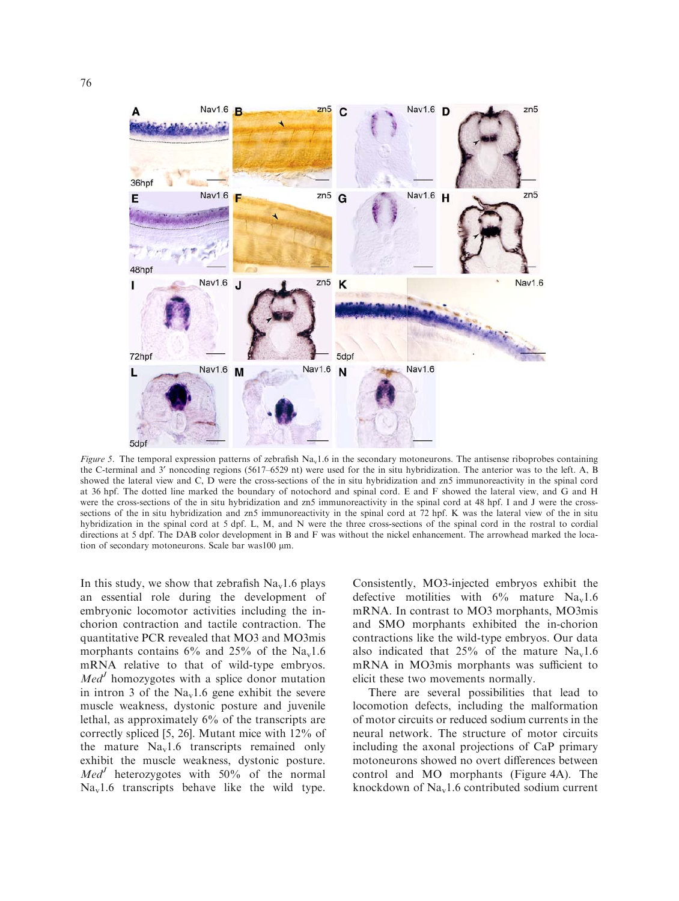



Figure 5. The temporal expression patterns of zebrafish Na<sub>v</sub>1.6 in the secondary motoneurons. The antisense riboprobes containing the C-terminal and 3' noncoding regions (5617–6529 nt) were used for the in situ hybridization. The anterior was to the left. A, B showed the lateral view and C, D were the cross-sections of the in situ hybridization and zn5 immunoreactivity in the spinal cord at 36 hpf. The dotted line marked the boundary of notochord and spinal cord. E and F showed the lateral view, and G and H were the cross-sections of the in situ hybridization and zn5 immunoreactivity in the spinal cord at 48 hpf. I and J were the crosssections of the in situ hybridization and zn5 immunoreactivity in the spinal cord at 72 hpf. K was the lateral view of the in situ hybridization in the spinal cord at 5 dpf. L, M, and N were the three cross-sections of the spinal cord in the rostral to cordial directions at 5 dpf. The DAB color development in B and F was without the nickel enhancement. The arrowhead marked the location of secondary motoneurons. Scale bar was100 µm.

In this study, we show that zebrafish  $Na<sub>v</sub>1.6$  plays an essential role during the development of embryonic locomotor activities including the inchorion contraction and tactile contraction. The quantitative PCR revealed that MO3 and MO3mis morphants contains  $6\%$  and  $25\%$  of the Na<sub>v</sub>1.6 mRNA relative to that of wild-type embryos.  $Med<sup>J</sup>$  homozygotes with a splice donor mutation in intron 3 of the  $Na<sub>v</sub>1.6$  gene exhibit the severe muscle weakness, dystonic posture and juvenile lethal, as approximately 6% of the transcripts are correctly spliced [5, 26]. Mutant mice with 12% of the mature  $Na<sub>v</sub>1.6$  transcripts remained only exhibit the muscle weakness, dystonic posture.  $Med<sup>J</sup>$  heterozygotes with 50% of the normal  $Na<sub>v</sub>1.6$  transcripts behave like the wild type.

Consistently, MO3-injected embryos exhibit the defective motilities with  $6\%$  mature Na<sub>v</sub>1.6 mRNA. In contrast to MO3 morphants, MO3mis and SMO morphants exhibited the in-chorion contractions like the wild-type embryos. Our data also indicated that  $25\%$  of the mature Na<sub>v</sub>1.6 mRNA in MO3mis morphants was sufficient to elicit these two movements normally.

There are several possibilities that lead to locomotion defects, including the malformation of motor circuits or reduced sodium currents in the neural network. The structure of motor circuits including the axonal projections of CaP primary motoneurons showed no overt differences between control and MO morphants (Figure 4A). The knockdown of  $Na<sub>v</sub>1.6$  contributed sodium current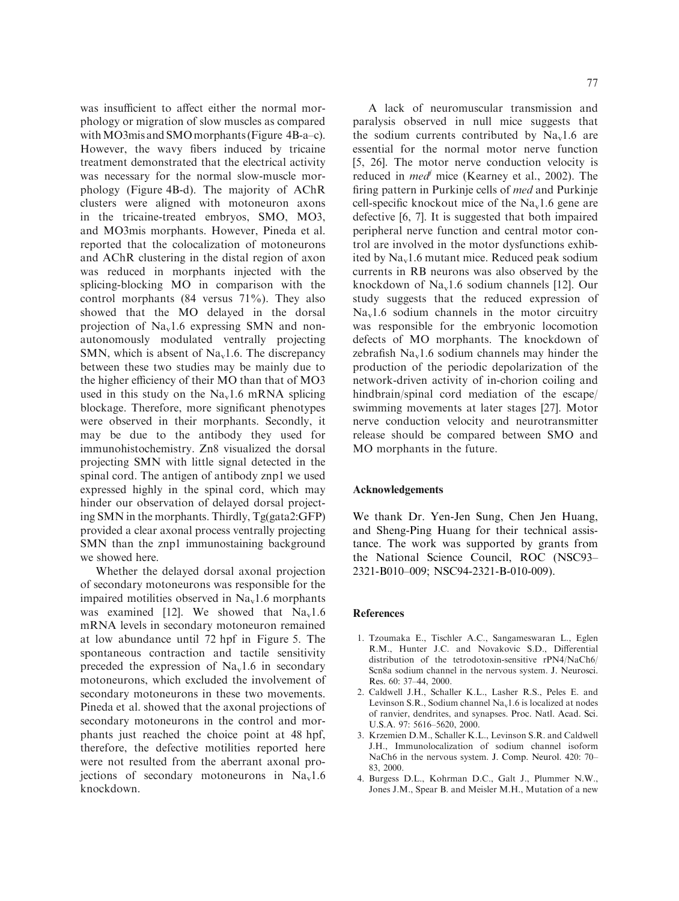was insufficient to affect either the normal morphology or migration of slow muscles as compared with MO3mis and SMO morphants (Figure 4B-a–c). However, the wavy fibers induced by tricaine treatment demonstrated that the electrical activity was necessary for the normal slow-muscle morphology (Figure 4B-d). The majority of AChR clusters were aligned with motoneuron axons in the tricaine-treated embryos, SMO, MO3, and MO3mis morphants. However, Pineda et al. reported that the colocalization of motoneurons and AChR clustering in the distal region of axon was reduced in morphants injected with the splicing-blocking MO in comparison with the control morphants (84 versus 71%). They also showed that the MO delayed in the dorsal projection of  $Na<sub>v</sub>1.6$  expressing SMN and nonautonomously modulated ventrally projecting SMN, which is absent of  $Na<sub>v</sub>1.6$ . The discrepancy between these two studies may be mainly due to the higher efficiency of their MO than that of MO3 used in this study on the  $Na<sub>v</sub>1.6$  mRNA splicing blockage. Therefore, more significant phenotypes were observed in their morphants. Secondly, it may be due to the antibody they used for immunohistochemistry. Zn8 visualized the dorsal projecting SMN with little signal detected in the spinal cord. The antigen of antibody znp1 we used expressed highly in the spinal cord, which may hinder our observation of delayed dorsal projecting SMN in the morphants. Thirdly, Tg(gata2:GFP) provided a clear axonal process ventrally projecting SMN than the znp1 immunostaining background we showed here.

Whether the delayed dorsal axonal projection of secondary motoneurons was responsible for the impaired motilities observed in  $\text{Na}_{\text{v}}1.6$  morphants was examined [12]. We showed that  $Na<sub>v</sub>1.6$ mRNA levels in secondary motoneuron remained at low abundance until 72 hpf in Figure 5. The spontaneous contraction and tactile sensitivity preceded the expression of  $Na<sub>v</sub>1.6$  in secondary motoneurons, which excluded the involvement of secondary motoneurons in these two movements. Pineda et al. showed that the axonal projections of secondary motoneurons in the control and morphants just reached the choice point at 48 hpf, therefore, the defective motilities reported here were not resulted from the aberrant axonal projections of secondary motoneurons in  $Na<sub>v</sub>1.6$ knockdown.

A lack of neuromuscular transmission and paralysis observed in null mice suggests that the sodium currents contributed by  $Na<sub>v</sub>1.6$  are essential for the normal motor nerve function [5, 26]. The motor nerve conduction velocity is reduced in *med*<sup> $\prime$ </sup> mice (Kearney et al., 2002). The firing pattern in Purkinje cells of med and Purkinje cell-specific knockout mice of the  $Na<sub>v</sub>1.6$  gene are defective [6, 7]. It is suggested that both impaired peripheral nerve function and central motor control are involved in the motor dysfunctions exhibited by Nav1.6 mutant mice. Reduced peak sodium currents in RB neurons was also observed by the knockdown of Nav1.6 sodium channels [12]. Our study suggests that the reduced expression of  $Na<sub>v</sub>1.6$  sodium channels in the motor circuitry was responsible for the embryonic locomotion defects of MO morphants. The knockdown of zebrafish  $Na<sub>v</sub>1.6$  sodium channels may hinder the production of the periodic depolarization of the network-driven activity of in-chorion coiling and hindbrain/spinal cord mediation of the escape/ swimming movements at later stages [27]. Motor nerve conduction velocity and neurotransmitter release should be compared between SMO and MO morphants in the future.

# Acknowledgements

We thank Dr. Yen-Jen Sung, Chen Jen Huang, and Sheng-Ping Huang for their technical assistance. The work was supported by grants from the National Science Council, ROC (NSC93– 2321-B010–009; NSC94-2321-B-010-009).

#### **References**

- 1. Tzoumaka E., Tischler A.C., Sangameswaran L., Eglen R.M., Hunter J.C. and Novakovic S.D., Differential distribution of the tetrodotoxin-sensitive rPN4/NaCh6/ Scn8a sodium channel in the nervous system. J. Neurosci. Res. 60: 37–44, 2000.
- 2. Caldwell J.H., Schaller K.L., Lasher R.S., Peles E. and Levinson S.R., Sodium channel  $Na<sub>v</sub>1.6$  is localized at nodes of ranvier, dendrites, and synapses. Proc. Natl. Acad. Sci. U.S.A. 97: 5616–5620, 2000.
- 3. Krzemien D.M., Schaller K.L., Levinson S.R. and Caldwell J.H., Immunolocalization of sodium channel isoform NaCh6 in the nervous system. J. Comp. Neurol. 420: 70– 83, 2000.
- 4. Burgess D.L., Kohrman D.C., Galt J., Plummer N.W., Jones J.M., Spear B. and Meisler M.H., Mutation of a new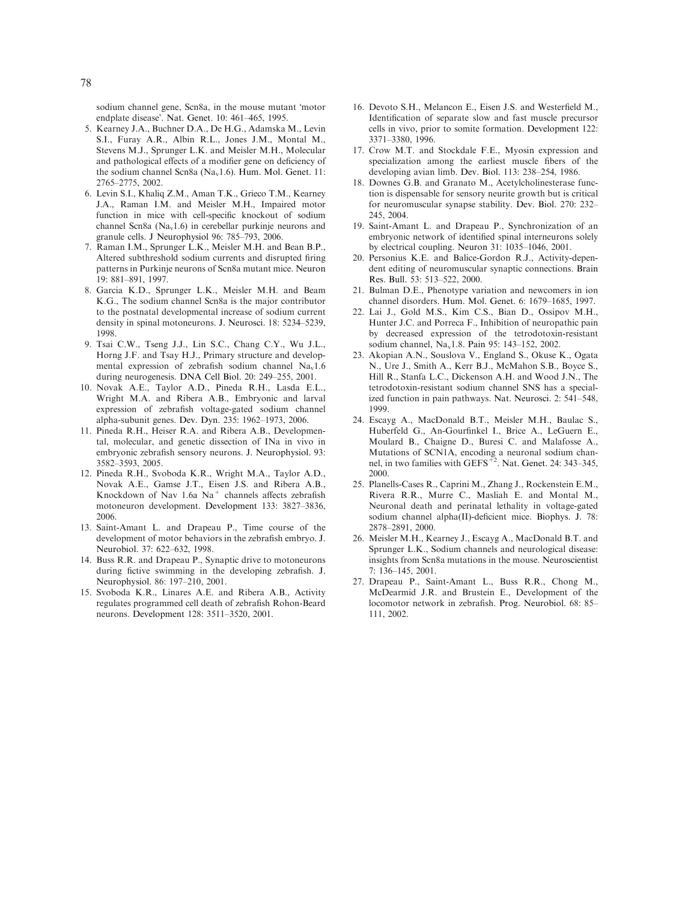sodium channel gene, Scn8a, in the mouse mutant 'motor endplate disease'. Nat. Genet. 10: 461-465, 1995.

- 5. Kearney J.A., Buchner D.A., De H.G., Adamska M., Levin S.I., Furay A.R., Albin R.L., Jones J.M., Montal M., Stevens M.J., Sprunger L.K. and Meisler M.H., Molecular and pathological effects of a modifier gene on deficiency of the sodium channel Scn8a (Na<sub>v</sub>1.6). Hum. Mol. Genet. 11: 2765–2775, 2002.
- 6. Levin S.I., Khaliq Z.M., Aman T.K., Grieco T.M., Kearney J.A., Raman I.M. and Meisler M.H., Impaired motor function in mice with cell-specific knockout of sodium channel Scn8a ( $Na<sub>v</sub>1.6$ ) in cerebellar purkinje neurons and granule cells. J Neurophysiol 96: 785–793, 2006.
- 7. Raman I.M., Sprunger L.K., Meisler M.H. and Bean B.P., Altered subthreshold sodium currents and disrupted firing patterns in Purkinje neurons of Scn8a mutant mice. Neuron 19: 881–891, 1997.
- 8. Garcia K.D., Sprunger L.K., Meisler M.H. and Beam K.G., The sodium channel Scn8a is the major contributor to the postnatal developmental increase of sodium current density in spinal motoneurons. J. Neurosci. 18: 5234–5239, 1998.
- 9. Tsai C.W., Tseng J.J., Lin S.C., Chang C.Y., Wu J.L., Horng J.F. and Tsay H.J., Primary structure and developmental expression of zebrafish sodium channel  $Na<sub>v</sub>1.6$ during neurogenesis. DNA Cell Biol. 20: 249–255, 2001.
- 10. Novak A.E., Taylor A.D., Pineda R.H., Lasda E.L., Wright M.A. and Ribera A.B., Embryonic and larval expression of zebrafish voltage-gated sodium channel alpha-subunit genes. Dev. Dyn. 235: 1962–1973, 2006.
- 11. Pineda R.H., Heiser R.A. and Ribera A.B., Developmental, molecular, and genetic dissection of INa in vivo in embryonic zebrafish sensory neurons. J. Neurophysiol. 93: 3582–3593, 2005.
- 12. Pineda R.H., Svoboda K.R., Wright M.A., Taylor A.D., Novak A.E., Gamse J.T., Eisen J.S. and Ribera A.B., Knockdown of Nav 1.6a  $Na<sup>+</sup>$  channels affects zebrafish motoneuron development. Development 133: 3827–3836, 2006.
- 13. Saint-Amant L. and Drapeau P., Time course of the development of motor behaviors in the zebrafish embryo. J. Neurobiol. 37: 622–632, 1998.
- 14. Buss R.R. and Drapeau P., Synaptic drive to motoneurons during fictive swimming in the developing zebrafish. J. Neurophysiol. 86: 197–210, 2001.
- 15. Svoboda K.R., Linares A.E. and Ribera A.B., Activity regulates programmed cell death of zebrafish Rohon-Beard neurons. Development 128: 3511–3520, 2001.
- 16. Devoto S.H., Melancon E., Eisen J.S. and Westerfield M., Identification of separate slow and fast muscle precursor cells in vivo, prior to somite formation. Development 122: 3371–3380, 1996.
- 17. Crow M.T. and Stockdale F.E., Myosin expression and specialization among the earliest muscle fibers of the developing avian limb. Dev. Biol. 113: 238–254, 1986.
- 18. Downes G.B. and Granato M., Acetylcholinesterase function is dispensable for sensory neurite growth but is critical for neuromuscular synapse stability. Dev. Biol. 270: 232– 245, 2004.
- 19. Saint-Amant L. and Drapeau P., Synchronization of an embryonic network of identified spinal interneurons solely by electrical coupling. Neuron 31: 1035–1046, 2001.
- 20. Personius K.E. and Balice-Gordon R.J., Activity-dependent editing of neuromuscular synaptic connections. Brain Res. Bull. 53: 513–522, 2000.
- 21. Bulman D.E., Phenotype variation and newcomers in ion channel disorders. Hum. Mol. Genet. 6: 1679–1685, 1997.
- 22. Lai J., Gold M.S., Kim C.S., Bian D., Ossipov M.H., Hunter J.C. and Porreca F., Inhibition of neuropathic pain by decreased expression of the tetrodotoxin-resistant sodium channel, Nav1.8. Pain 95: 143–152, 2002.
- 23. Akopian A.N., Souslova V., England S., Okuse K., Ogata N., Ure J., Smith A., Kerr B.J., McMahon S.B., Boyce S., Hill R., Stanfa L.C., Dickenson A.H. and Wood J.N., The tetrodotoxin-resistant sodium channel SNS has a specialized function in pain pathways. Nat. Neurosci. 2: 541–548, 1999.
- 24. Escayg A., MacDonald B.T., Meisler M.H., Baulac S., Huberfeld G., An-Gourfinkel I., Brice A., LeGuern E., Moulard B., Chaigne D., Buresi C. and Malafosse A., Mutations of SCN1A, encoding a neuronal sodium chan-<br>nel, in two families with GEFS<sup>+2</sup>. Nat. Genet. 24: 343–345, 2000.
- 25. Planells-Cases R., Caprini M., Zhang J., Rockenstein E.M., Rivera R.R., Murre C., Masliah E. and Montal M., Neuronal death and perinatal lethality in voltage-gated sodium channel alpha(II)-deficient mice. Biophys. J. 78: 2878–2891, 2000.
- 26. Meisler M.H., Kearney J., Escayg A., MacDonald B.T. and Sprunger L.K., Sodium channels and neurological disease: insights from Scn8a mutations in the mouse. Neuroscientist 7: 136–145, 2001.
- 27. Drapeau P., Saint-Amant L., Buss R.R., Chong M., McDearmid J.R. and Brustein E., Development of the locomotor network in zebrafish. Prog. Neurobiol. 68: 85– 111, 2002.